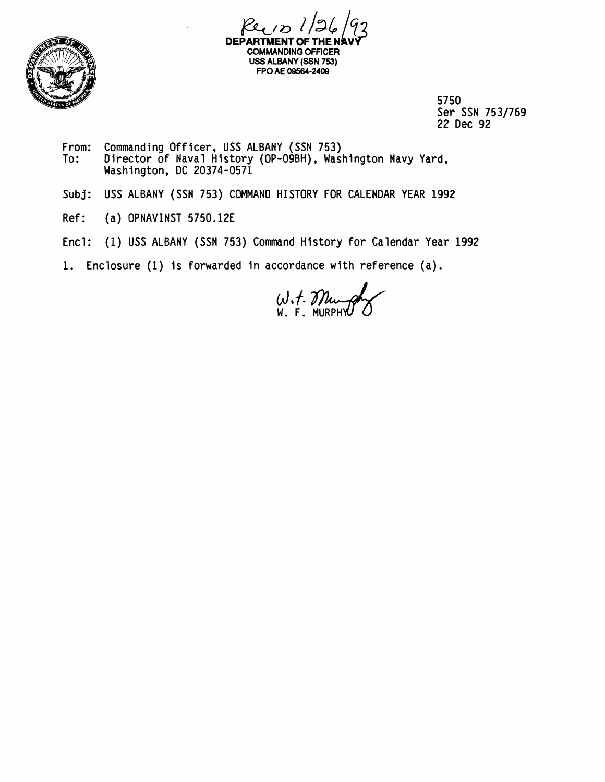



5750 Ser SSN 753/769 22 Dec 92

- From: Commanding Officer, USS ALBANY (SSN 753) To: Director of Naval History (OP-09BH), Washington Navy Yard, Washington, DC 20374-0571
- Subj: USS ALBANY (SSN 753) COMMAND HISTORY FOR CALENDAR YEAR 1992
- Ref: (a) OPNAVINST 5750.12E
- Encl: (1) USS ALBANY (SSN 753) Command History for Calendar Year 1992
- **1.** Enclosure (1) is forwarded in accordance with reference (a).

 $W.f.$  Murphy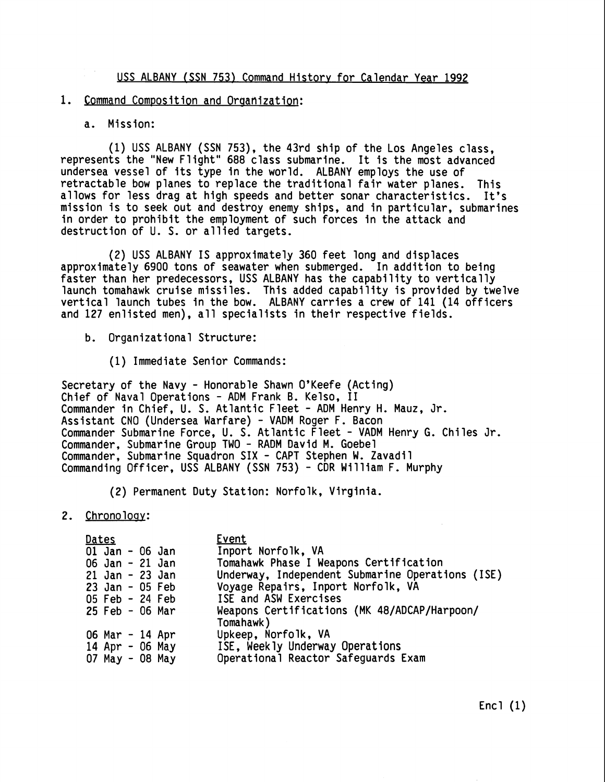**USS ALBANY (SSN 753) Command Historv for Calendar Year 1992** 

## 1. Command Composition and Organization:

## **a. Mission:**

**(1) USS ALBANY (SSN 753), the 43rd ship of the Los Angeles class, represents the "New Flight" 688 class submarine. It is the most advanced undersea vessel of its type in the world. ALBANY employs the use of retractable bow planes to replace the traditional fair water planes. This allows for less drag at high speeds and better sonar characteristics. It's mission is to seek out and destroy enemy ships, and in particular, submarines**  in order to prohibit the employment of such forces in the attack and **destruction of U. S. or allied targets.** 

**(2) USS ALBANY IS approximately 360 feet long and displaces approximately 6900 tons of seawater when submerged. In addition to being faster than her predecessors, USS ALBANY has the capability to vertically launch tomahawk cruise missiles. This added capability is provided by twelve vertical launch tubes in the bow. ALBANY carries a crew of 141 (14 officers and 127 enlisted men), all specialists in their respective fields.** 

- **b. Organizational Structure:** 
	- **(1) Immediate Senior Commands:**

**Secretary of the Navy** - **Honorable Shawn O'Keefe (Acting) Chief of Naval Operations** - **ADM Frank B. Kelso, I1 Commander in Chief, U. S. Atlantic Fleet** - **ADM Henry H. Mauz, Jr. Assistant CNO (Undersea Warfare)** - **VADM Roger F. Bacon Commander Submarine Force, U. S. Atlantic Fleet** - **VADM Henry G. Chiles Jr. Commander, Submarine Group TWO** - **RADM David M. Goebel Commander, Submarine Squadron SIX** - **CAPT Stephen W. Zavadi 1 Commanding Officer, USS ALBANY (SSN 753)** - **CDR Wi 1 liam F. Murphy** 

**(2) Permanent Duty Station: Norfolk, Virginia.** 

## **2. Chronoloay:**

| <u>Dates</u>      | Event                                            |
|-------------------|--------------------------------------------------|
| 01 Jan - 06 Jan   | Inport Norfolk, VA                               |
| 06 Jan - 21 Jan   | Tomahawk Phase I Weapons Certification           |
| 21 Jan - 23 Jan   | Underway, Independent Submarine Operations (ISE) |
| $23$ Jan - 05 Feb | Voyage Repairs, Inport Norfolk, VA               |
| 05 Feb - 24 Feb   | ISE and ASW Exercises                            |
| $25$ Feb - 06 Mar | Weapons Certifications (MK 48/ADCAP/Harpoon/     |
|                   | Tomahawk)                                        |
| 06 Mar - 14 Apr   | Upkeep, Norfolk, VA                              |
| 14 Apr - 06 May   | ISE, Weekly Underway Operations                  |
| 07 May - 08 May   | Operational Reactor Safeguards Exam              |

**Encl (1)**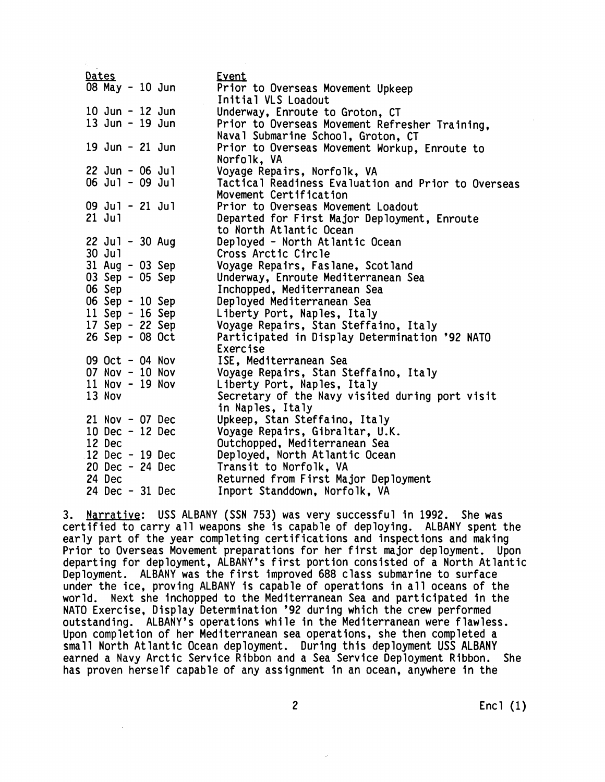| Dates             | Event                                               |
|-------------------|-----------------------------------------------------|
| 08 May - 10 Jun   | Prior to Overseas Movement Upkeep                   |
|                   | Initial VLS Loadout                                 |
| 10 Jun - 12 Jun   | Underway, Enroute to Groton, CT                     |
| 13 Jun - 19 Jun   | Prior to Overseas Movement Refresher Training,      |
|                   | Naval Submarine School, Groton, CT                  |
| 19 Jun - 21 Jun   | Prior to Overseas Movement Workup, Enroute to       |
|                   | Norfolk, VA                                         |
| $22$ Jun - 06 Jul | Voyage Repairs, Norfolk, VA                         |
| $06$ Jul - 09 Jul | Tactical Readiness Evaluation and Prior to Overseas |
|                   | Movement Certification                              |
| $09$ Jul - 21 Jul | Prior to Overseas Movement Loadout                  |
| $21$ Jul          | Departed for First Major Deployment, Enroute        |
|                   | to North Atlantic Ocean                             |
| 22 Jul - 30 Aug   | Deployed - North Atlantic Ocean                     |
| 30 Jul            | Cross Arctic Circle                                 |
| 31 Aug - 03 Sep   | Voyage Repairs, Faslane, Scotland                   |
| 03 Sep - 05 Sep   | Underway, Enroute Mediterranean Sea                 |
| 06 Sep            | Inchopped, Mediterranean Sea                        |
| 06 Sep - 10 Sep   | Deployed Mediterranean Sea                          |
| 11 Sep - 16 Sep   | Liberty Port, Naples, Italy                         |
| 17 Sep - 22 Sep   | Voyage Repairs, Stan Steffaino, Italy               |
| 26 Sep - 08 Oct   | Participated in Display Determination '92 NATO      |
|                   | Exercise                                            |
| 09 Oct - 04 Nov   | ISE, Mediterranean Sea                              |
| 07 Nov - 10 Nov   | Voyage Repairs, Stan Steffaino, Italy               |
| $11$ Nov - 19 Nov | Liberty Port, Naples, Italy                         |
| 13 Nov            | Secretary of the Navy visited during port visit     |
|                   | in Naples, Italy                                    |
| $21$ Nov - 07 Dec | Upkeep, Stan Steffaino, Italy                       |
| 10 Dec - 12 Dec   | Voyage Repairs, Gibraltar, U.K.                     |
| 12 Dec            | Outchopped, Mediterranean Sea                       |
| 12 Dec - 19 Dec   | Deployed, North Atlantic Ocean                      |
| 20 Dec - 24 Dec   | Transit to Norfolk, VA                              |
| 24 Dec            | Returned from First Major Deployment                |
| 24 Dec - 31 Dec   | Inport Standdown, Norfolk, VA                       |
|                   |                                                     |

3. **Narrative: USS ALBANY (SSN** 753) **was very successful in** 1992. **She was certified to carry all weapons she is capable of deploying. ALBANY spent the early part of the year completing certifications and inspections and making Prior to Overseas Movement preparations for her first major deployment. Upon departing for deployment, ALBANY'S first portion consisted of a North Atlantic Deployment. ALBANY was the first improved** 688 **class submarine to surface under the ice, proving ALBANY is capable of operations in all oceans of the world. Next she inchopped to the Mediterranean Sea and participated in the NATO Exercise, Display Determination** '92 **during which the crew performed outstanding. ALBANY'S operations while in the Mediterranean were flawless. Upon completion of her Mediterranean sea operations, she then completed a small North Atlantic Ocean deployment. During this deployment USS ALBANY earned a Navy Arctic Service Ribbon and a Sea Service Deployment Ribbon. She has proven herself capable of any assignment in an ocean, anywhere in the** 

2 **Encl** (1)